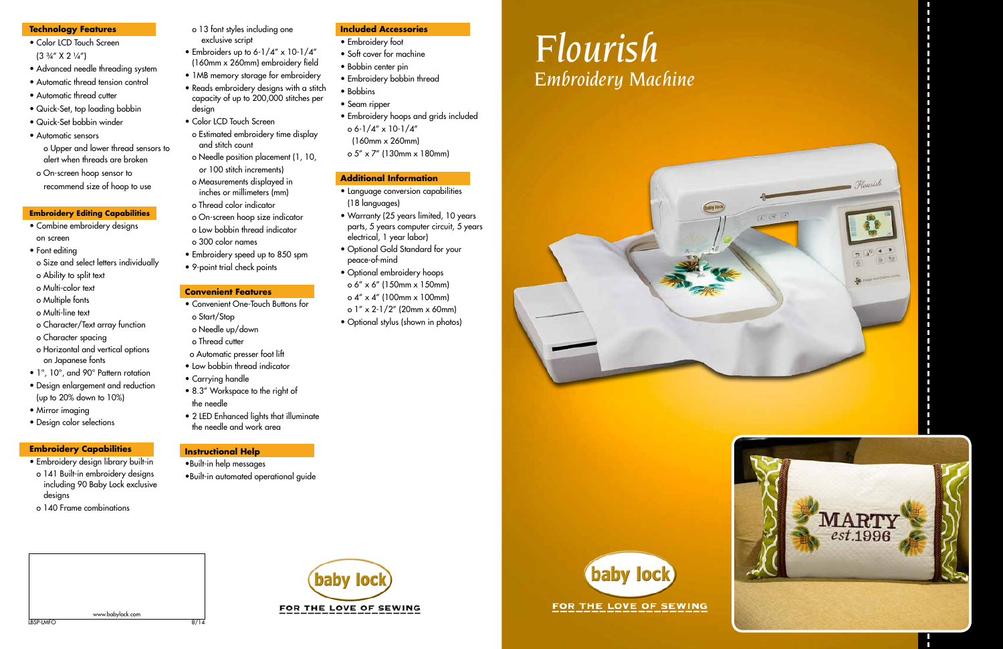



LBSP-LMFO 8/14 www.babylock.com

baby locl FOR THE LOVE OF SEWING

### **Technology Features**

- Color LCD Touch Screen  $(3 \frac{3}{4}$ " X 2  $\frac{1}{4}$ ")
- Advanced needle threading system
- Automatic thread tension control
- Automatic thread cutter
- Quick-Set, top loading bobbin
- Quick-Set bobbin winder
- Automatic sensors
	- o Upper and lower thread sensors to alert when threads are broken
- o On-screen hoop sensor to recommend size of hoop to use

## **Embroidery Editing Capabilities**

- Combine embroidery designs on screen
- Font editing
- o Size and select letters individually
- o Ability to split text
- o Multi-color text
- o Multiple fonts
- o Multi-line text
- o Character/Text array function
- o Character spacing
- o Horizontal and vertical options on Japanese fonts
- 1°, 10°, and 90° Pattern rotation
- Design enlargement and reduction (up to 20% down to 10%)
- Mirror imaging
- Design color selections

## **Embroidery Capabilities**

- Embroidery design library built-in
- o 141 Built-in embroidery designs including 90 Baby Lock exclusive designs
- o 140 Frame combinations

 o 13 font styles including one exclusive script

• Embroiders up to 6-1/4" x 10-1/4" (160mm x 260mm) embroidery field • 1MB memory storage for embroidery • Reads embroidery designs with a stitch capacity of up to 200,000 stitches per

design

• Color LCD Touch Screen

o Estimated embroidery time display

and stitch count

o Needle position placement (1, 10,

 or 100 stitch increments) o Measurements displayed in inches or millimeters (mm)

o Thread color indicator

 o On-screen hoop size indicator o Low bobbin thread indicator

o 300 color names

• Embroidery speed up to 850 spm • 9-point trial check points

## **Convenient Features**

- o Automatic presser foot lift • Low bobbin thread indicator
- 
- 

- Convenient One-Touch Buttons for o Start/Stop
- o Needle up/down
- o Thread cutter
- 
- Carrying handle
- 8.3" Workspace to the right of
- 2 LED Enhanced lights that illuminate

- the needle
- the needle and work area

## **Instructional Help**

- •Built-in help messages
- •Built-in automated operational guide
- **Included Accessories** • Embroidery foot
	-
	- Soft cover for machine
	- Bobbin center pin
	- Embroidery bobbin thread
	- Bobbins
	- Seam ripper
	- Embroidery hoops and grids included o 6-1/4" x 10-1/4" (160mm x 260mm)
	- o 5" x 7" (130mm x 180mm)

## **Additional Information**

- Language conversion capabilities (18 languages)
- Warranty (25 years limited, 10 years parts, 5 years computer circuit, 5 years electrical, 1 year labor)
- Optional Gold Standard for your peace-of-mind
- Optional embroidery hoops o 6" x 6" (150mm x 150mm) o 4" x 4" (100mm x 100mm) o 1" x 2-1/2" (20mm x 60mm)
- Optional stylus (shown in photos)